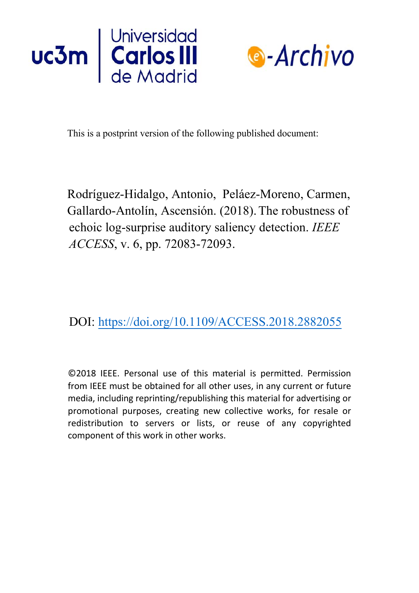



This is a postprint version of the following published document:

Rodríguez-Hidalgo, Antonio, Peláez-Moreno, Carmen, Gallardo-Antolín, Ascensión. (2018).The robustness of echoic log-surprise auditory saliency detection. *IEEE ACCESS*, v. 6, pp. 72083-72093.

DOI: <https://doi.org/10.1109/ACCESS.2018.2882055>

©2018 IEEE. Personal use of this material is permitted. Permission from IEEE must be obtained for all other uses, in any current or future media, including reprinting/republishing this material for advertising or promotional purposes, creating new collective works, for resale or redistribution to servers or lists, or reuse of any copyrighted component of this work in [other works.](https://creativecommons.org/licenses/by-nc-nd/4.0/)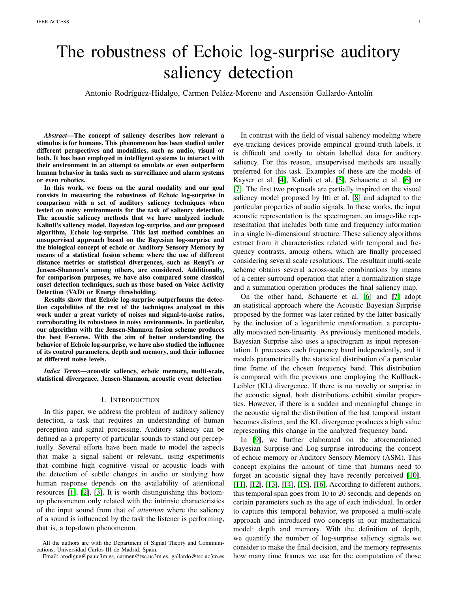# The robustness of Echoic log-surprise auditory saliency detection

Antonio Rodríguez-Hidalgo, Carmen Peláez-Moreno and Ascensión Gallardo-Antolín

*Abstract*—The concept of saliency describes how relevant a stimulus is for humans. This phenomenon has been studied under different perspectives and modalities, such as audio, visual or both. It has been employed in intelligent systems to interact with their environment in an attempt to emulate or even outperform human behavior in tasks such as surveillance and alarm systems or even robotics.

In this work, we focus on the aural modality and our goal consists in measuring the robustness of Echoic log-surprise in comparison with a set of auditory saliency techniques when tested on noisy environments for the task of saliency detection. The acoustic saliency methods that we have analyzed include Kalinli's saliency model, Bayesian log-surprise, and our proposed algorithm, Echoic log-surprise. This last method combines an unsupervised approach based on the Bayesian log-surprise and the biological concept of echoic or Auditory Sensory Memory by means of a statistical fusion scheme where the use of different distance metrics or statistical divergences, such as Renyi's or Jensen-Shannon's among others, are considered. Additionally, for comparison purposes, we have also compared some classical onset detection techniques, such as those based on Voice Activity Detection (VAD) or Energy thresholding.

Results show that Echoic log-surprise outperforms the detection capabilities of the rest of the techniques analyzed in this work under a great variety of noises and signal-to-noise ratios, corroborating its robustness in noisy environments. In particular, our algorithm with the Jensen-Shannon fusion scheme produces the best F-scores. With the aim of better understanding the behavior of Echoic log-surprise, we have also studied the influence of its control parameters, depth and memory, and their influence at different noise levels.

*Index Terms*—acoustic saliency, echoic memory, multi-scale, statistical divergence, Jensen-Shannon, acoustic event detection

#### I. INTRODUCTION

In this paper, we address the problem of auditory saliency detection, a task that requires an understanding of human perception and signal processing. Auditory saliency can be defined as a property of particular sounds to stand out perceptually. Several efforts have been made to model the aspects that make a signal salient or relevant, using experiments that combine high cognitive visual or acoustic loads with the detection of subtle changes in audio or studying how human response depends on the availability of attentional resources [\[1\]](#page-9-0), [\[2\]](#page-9-1), [\[3\]](#page-10-0). It is worth distinguishing this bottomup phenomenon only related with the intrinsic characteristics of the input sound from that of *attention* where the saliency of a sound is influenced by the task the listener is performing, that is, a top-down phenomenon.

In contrast with the field of visual saliency modeling where eye-tracking devices provide empirical ground-truth labels, it is difficult and costly to obtain labelled data for auditory saliency. For this reason, unsupervised methods are usually preferred for this task. Examples of these are the models of Kayser et al. [\[4\]](#page-10-1), Kalinli et al. [\[5\]](#page-10-2), Schauerte et al. [\[6\]](#page-10-3) or [\[7\]](#page-10-4). The first two proposals are partially inspired on the visual saliency model proposed by Itti et al. [\[8\]](#page-10-5) and adapted to the particular properties of audio signals. In these works, the input acoustic representation is the spectrogram, an image-like representation that includes both time and frequency information in a single bi-dimensional structure. These saliency algorithms extract from it characteristics related with temporal and frequency contrasts, among others, which are finally processed considering several scale resolutions. The resultant multi-scale scheme obtains several across-scale combinations by means of a center-surround operation that after a normalization stage and a summation operation produces the final saliency map.

On the other hand, Schauerte et al. [\[6\]](#page-10-3) and [\[7\]](#page-10-4) adopt an statistical approach where the Acoustic Bayesian Surprise proposed by the former was later refined by the latter basically by the inclusion of a logarithmic transformation, a perceptually motivated non-linearity. As previously mentioned models, Bayesian Surprise also uses a spectrogram as input representation. It processes each frequency band independently, and it models parametrically the statistical distribution of a particular time frame of the chosen frequency band. This distribution is compared with the previous one employing the Kullback-Leibler (KL) divergence. If there is no novelty or surprise in the acoustic signal, both distributions exhibit similar properties. However, if there is a sudden and meaningful change in the acoustic signal the distribution of the last temporal instant becomes distinct, and the KL divergence produces a high value representing this change in the analyzed frequency band.

In [\[9\]](#page-10-6), we further elaborated on the aforementioned Bayesian Surprise and Log-surprise introducing the concept of echoic memory or Auditory Sensory Memory (ASM). This concept explains the amount of time that humans need to forget an acoustic signal they have recently perceived [\[10\]](#page-10-7), [\[11\]](#page-10-8), [\[12\]](#page-10-9), [\[13\]](#page-10-10), [\[14\]](#page-10-11), [\[15\]](#page-10-12), [\[16\]](#page-10-13). According to different authors, this temporal span goes from 10 to 20 seconds, and depends on certain parameters such as the age of each individual. In order to capture this temporal behavior, we proposed a multi-scale approach and introduced two concepts in our mathematical model: depth and memory. With the definition of depth, we quantify the number of log-surprise saliency signals we consider to make the final decision, and the memory represents how many time frames we use for the computation of those

All the authors are with the Department of Signal Theory and Communications, Universidad Carlos III de Madrid, Spain.

Email: arodigue@pa.uc3m.es, carmen@tsc.uc3m.es, gallardo@tsc.uc3m.es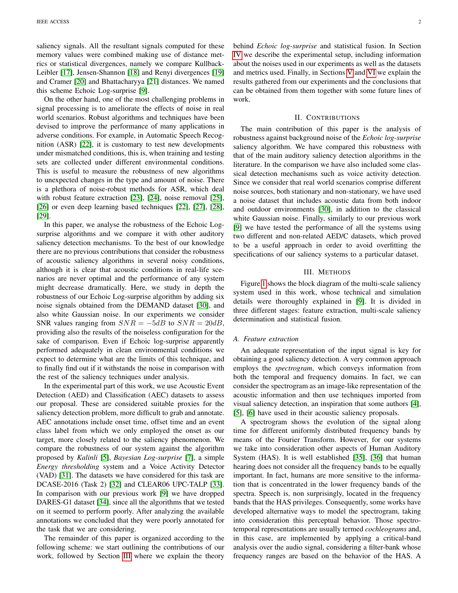saliency signals. All the resultant signals computed for these memory values were combined making use of distance metrics or statistical divergences, namely we compare Kullback-Leibler [\[17\]](#page-10-14), Jensen-Shannon [\[18\]](#page-10-15) and Renyi divergences [\[19\]](#page-10-16) and Cramer [\[20\]](#page-10-17) and Bhattacharyya [\[21\]](#page-10-18) distances. We named this scheme Echoic Log-surprise [\[9\]](#page-10-6).

On the other hand, one of the most challenging problems in signal processing is to ameliorate the effects of noise in real world scenarios. Robust algorithms and techniques have been devised to improve the performance of many applications in adverse conditions. For example, in Automatic Speech Recognition (ASR) [\[22\]](#page-10-19), it is customary to test new developments under mismatched conditions, this is, when training and testing sets are collected under different environmental conditions. This is useful to measure the robustness of new algorithms to unexpected changes in the type and amount of noise. There is a plethora of noise-robust methods for ASR, which deal with robust feature extraction [\[23\]](#page-10-20), [\[24\]](#page-10-21), noise removal [\[25\]](#page-10-22), [\[26\]](#page-10-23) or even deep learning based techniques [\[22\]](#page-10-19), [\[27\]](#page-10-24), [\[28\]](#page-10-25), [\[29\]](#page-10-26).

In this paper, we analyse the robustness of the Echoic Logsurprise algorithms and we compare it with other auditory saliency detection mechanisms. To the best of our knowledge there are no previous contributions that consider the robustness of acoustic saliency algorithms in several noisy conditions, although it is clear that acoustic conditions in real-life scenarios are never optimal and the performance of any system might decrease dramatically. Here, we study in depth the robustness of our Echoic Log-surprise algorithm by adding six noise signals obtained from the DEMAND dataset [\[30\]](#page-10-27), and also white Gaussian noise. In our experiments we consider SNR values ranging from  $SNR = -5dB$  to  $SNR = 20dB$ , providing also the results of the noiseless configuration for the sake of comparison. Even if Echoic log-surprise apparently performed adequately in clean environmental conditions we expect to determine what are the limits of this technique, and to finally find out if it withstands the noise in comparison with the rest of the saliency techniques under analysis.

In the experimental part of this work, we use Acoustic Event Detection (AED) and Classification (AEC) datasets to assess our proposal. These are considered suitable proxies for the saliency detection problem, more difficult to grab and annotate. AEC annotations include onset time, offset time and an event class label from which we only employed the onset as our target, more closely related to the saliency phenomenon. We compare the robustness of our system against the algorithm proposed by *Kalinli* [\[5\]](#page-10-2), *Bayesian Log-surprise* [\[7\]](#page-10-4), a simple *Energy thresholding* system and a Voice Activity Detector (VAD) [\[31\]](#page-10-28). The datasets we have considered for this task are DCASE-2016 (Task 2) [\[32\]](#page-10-29) and CLEAR06 UPC-TALP [\[33\]](#page-10-30). In comparison with our previous work [\[9\]](#page-10-6) we have dropped DARES-G1 dataset [\[34\]](#page-10-31), since all the algorithms that we tested on it seemed to perform poorly. After analyzing the available annotations we concluded that they were poorly annotated for the task that we are considering.

The remainder of this paper is organized according to the following scheme: we start outlining the contributions of our work, followed by Section [III](#page-2-0) where we explain the theory behind *Echoic log-surprise* and statistical fusion. In Section [IV](#page-4-0) we describe the experimental setup, including information about the noises used in our experiments as well as the datasets and metrics used. Finally, in Sections [V](#page-5-0) and [VI](#page-8-0) we explain the results gathered from our experiments and the conclusions that can be obtained from them together with some future lines of work.

#### II. CONTRIBUTIONS

The main contribution of this paper is the analysis of robustness against background noise of the *Echoic log-surprise* saliency algorithm. We have compared this robustness with that of the main auditory saliency detection algorithms in the literature. In the comparison we have also included some classical detection mechanisms such as voice activity detection. Since we consider that real world scenarios comprise different noise sources, both stationary and non-stationary, we have used a noise dataset that includes acoustic data from both indoor and outdoor environments [\[30\]](#page-10-27), in addition to the classical white Gaussian noise. Finally, similarly to our previous work [\[9\]](#page-10-6) we have tested the performance of all the systems using two different and non-related AED/C datasets, which proved to be a useful approach in order to avoid overfitting the specifications of our saliency systems to a particular dataset.

#### III. METHODS

<span id="page-2-0"></span>Figure [1](#page-4-1) shows the block diagram of the multi-scale saliency system used in this work, whose technical and simulation details were thoroughly explained in [\[9\]](#page-10-6). It is divided in three different stages: feature extraction, multi-scale saliency determination and statistical fusion.

#### *A. Feature extraction*

An adequate representation of the input signal is key for obtaining a good saliency detection. A very common approach employs the *spectrogram*, which conveys information from both the temporal and frequency domains. In fact, we can consider the spectrogram as an image-like representation of the acoustic information and then use techniques imported from visual saliency detection, an inspiration that some authors [\[4\]](#page-10-1), [\[5\]](#page-10-2), [\[6\]](#page-10-3) have used in their acoustic saliency proposals.

A spectrogram shows the evolution of the signal along time for different uniformly distributed frequency bands by means of the Fourier Transform. However, for our systems we take into consideration other aspects of Human Auditory System (HAS). It is well established [\[35\]](#page-10-32), [\[36\]](#page-10-33) that human hearing does not consider all the frequency bands to be equally important. In fact, humans are more sensitive to the information that is concentrated in the lower frequency bands of the spectra. Speech is, non surprisingly, located in the frequency bands that the HAS privileges. Consequently, some works have developed alternative ways to model the spectrogram, taking into consideration this perceptual behavior. Those spectrotemporal representations are usually termed *cochleograms* and, in this case, are implemented by applying a critical-band analysis over the audio signal, considering a filter-bank whose frequency ranges are based on the behavior of the HAS. A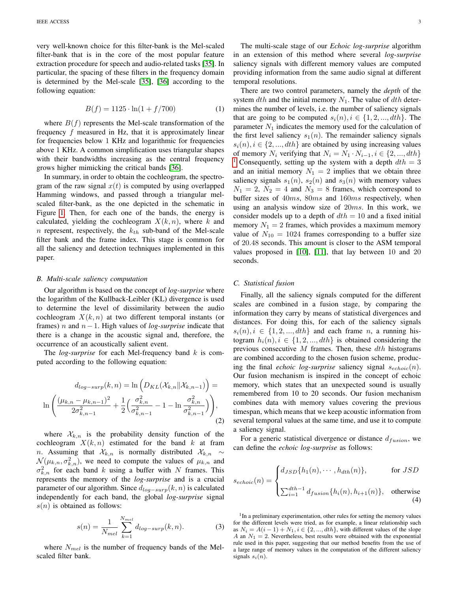very well-known choice for this filter-bank is the Mel-scaled filter-bank that is in the core of the most popular feature extraction procedure for speech and audio-related tasks [\[35\]](#page-10-32). In particular, the spacing of these filters in the frequency domain is determined by the Mel-scale [\[35\]](#page-10-32), [\[36\]](#page-10-33) according to the following equation:

$$
B(f) = 1125 \cdot \ln(1 + f/700) \tag{1}
$$

where  $B(f)$  represents the Mel-scale transformation of the frequency  $f$  measured in Hz, that it is approximately linear for frequencies below 1 KHz and logarithmic for frequencies above 1 KHz. A common simplification uses triangular shapes with their bandwidths increasing as the central frequency grows higher mimicking the critical bands [\[36\]](#page-10-33).

In summary, in order to obtain the cochleogram, the spectrogram of the raw signal  $x(t)$  is computed by using overlapped Hamming windows, and passed through a triangular melscaled filter-bank, as the one depicted in the schematic in Figure [1.](#page-4-1) Then, for each one of the bands, the energy is calculated, yielding the cochleogram  $X(k, n)$ , where k and  $n$  represent, respectively, the  $k_{th}$  sub-band of the Mel-scale filter bank and the frame index. This stage is common for all the saliency and detection techniques implemented in this paper.

## *B. Multi-scale saliency computation*

Our algorithm is based on the concept of *log-surprise* where the logarithm of the Kullback-Leibler (KL) divergence is used to determine the level of dissimilarity between the audio cochleogram  $X(k, n)$  at two different temporal instants (or frames) n and n−1. High values of *log-surprise* indicate that there is a change in the acoustic signal and, therefore, the occurrence of an acoustically salient event.

The *log-surprise* for each Mel-frequency band k is computed according to the following equation:

$$
d_{log-surr}(k,n) = \ln\left(D_{KL}(\mathcal{X}_{k,n}||\mathcal{X}_{k,n-1})\right) =
$$

$$
\ln\left(\frac{(\mu_{k,n} - \mu_{k,n-1})^2}{2\sigma_{k,n-1}^2} + \frac{1}{2}\left(\frac{\sigma_{k,n}^2}{\sigma_{k,n-1}^2} - 1 - \ln\frac{\sigma_{k,n}^2}{\sigma_{k,n-1}^2}\right)\right),\tag{2}
$$

where  $\mathcal{X}_{k,n}$  is the probability density function of the cochleogram  $X(k, n)$  estimated for the band k at fram n. Assuming that  $\mathcal{X}_{k,n}$  is normally distributed  $\mathcal{X}_{k,n} \sim$  $\mathcal{N}(\mu_{k,n}, \sigma_{k,n}^2)$ , we need to compute the values of  $\mu_{k,n}$  and  $\sigma_{k,n}^2$  for each band k using a buffer with N frames. This represents the memory of the *log-surprise* and is a crucial parameter of our algorithm. Since  $d_{log-surr}(k, n)$  is calculated independently for each band, the global *log-surprise* signal  $s(n)$  is obtained as follows:

$$
s(n) = \frac{1}{N_{mel}} \sum_{k=1}^{N_{mel}} d_{log-surr}(k, n).
$$
 (3)

where  $N_{mel}$  is the number of frequency bands of the Melscaled filter bank.

The multi-scale stage of our *Echoic log-surprise* algorithm in an extension of this method where several *log-surprise* saliency signals with different memory values are computed providing information from the same audio signal at different temporal resolutions.

There are two control parameters, namely the *depth* of the system dth and the initial memory  $N_1$ . The value of dth determines the number of levels, i.e. the number of saliency signals that are going to be computed  $s_i(n), i \in \{1, 2, ..., dth\}$ . The parameter  $N_1$  indicates the memory used for the calculation of the first level saliency  $s_1(n)$ . The remainder saliency signals  $s_i(n), i \in \{2, ..., dth\}$  are obtained by using increasing values of memory  $N_i$  verifying that  $N_i = N_1 \cdot N_{i-1}, i \in \{2, ..., dth\}$ <sup>[1](#page-3-0)</sup> Consequently, setting up the system with a depth  $dth = 3$ and an initial memory  $N_1 = 2$  implies that we obtain three saliency signals  $s_1(n)$ ,  $s_2(n)$  and  $s_3(n)$  with memory values  $N_1 = 2$ ,  $N_2 = 4$  and  $N_3 = 8$  frames, which correspond to buffer sizes of 40ms, 80ms and 160ms respectively, when using an analysis window size of 20ms. In this work, we consider models up to a depth of  $dth = 10$  and a fixed initial memory  $N_1 = 2$  frames, which provides a maximum memory value of  $N_{10} = 1024$  frames corresponding to a buffer size of 20.48 seconds. This amount is closer to the ASM temporal values proposed in [\[10\]](#page-10-7), [\[11\]](#page-10-8), that lay between 10 and 20 seconds.

## *C. Statistical fusion*

Finally, all the saliency signals computed for the different scales are combined in a fusion stage, by comparing the information they carry by means of statistical divergences and distances. For doing this, for each of the saliency signals  $s_i(n), i \in \{1, 2, ..., dth\}$  and each frame n, a running histogram  $h_i(n), i \in \{1, 2, ..., dth\}$  is obtained considering the previous consecutive  $M$  frames. Then, these  $dth$  histograms are combined according to the chosen fusion scheme, producing the final *echoic log-surprise* saliency signal  $s_{echoic}(n)$ . Our fusion mechanism is inspired in the concept of echoic memory, which states that an unexpected sound is usually remembered from 10 to 20 seconds. Our fusion mechanism combines data with memory values covering the previous timespan, which means that we keep acoustic information from several temporal values at the same time, and use it to compute a saliency signal.

For a generic statistical divergence or distance  $d_{fusion}$ , we can define the *echoic log-surprise* as follows:

$$
s_{echoic}(n) = \begin{cases} d_{JSD}\{h_1(n), \cdots, h_{dth}(n)\}, & \text{for } JSD\\ \sum_{i=1}^{dth-1} d_{fusion}\{h_i(n), h_{i+1}(n)\}, & \text{otherwise} \end{cases}
$$
(4)

<span id="page-3-0"></span><sup>1</sup>In a preliminary experimentation, other rules for setting the memory values for the different levels were tried, as for example, a linear relationship such as  $N_i = A(i-1) + N_1, i \in \{2, ..., dth\}$ , with different values of the slope A an  $N_1 = 2$ . Nevertheless, best results were obtained with the exponential rule used in this paper, suggesting that our method benefits from the use of a large range of memory values in the computation of the different saliency signals  $s_i(n)$ .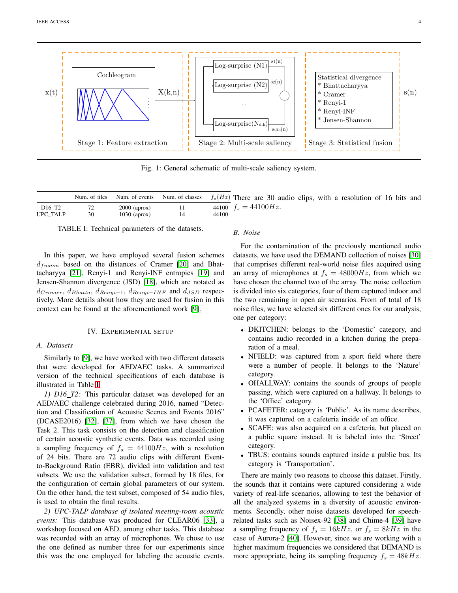<span id="page-4-1"></span>

Fig. 1: General schematic of multi-scale saliency system.

<span id="page-4-2"></span>

|            |    |                |        | Num. of files Num. of events Num. of classes $f_s(Hz)$ There are 30 audio clips, with a resolution of 16 bits and |
|------------|----|----------------|--------|-------------------------------------------------------------------------------------------------------------------|
| $D16_T2$   | 30 | $2000$ (aprox) | - 11 - | 44100 $f_s = 44100Hz$ .                                                                                           |
| $UPC_TALP$ |    | $1030$ (aprox) | 14     | 44100                                                                                                             |



In this paper, we have employed several fusion schemes  $d_{fusion}$  based on the distances of Cramer [\[20\]](#page-10-17) and Bhattacharyya [\[21\]](#page-10-18), Renyi-1 and Renyi-INF entropies [\[19\]](#page-10-16) and Jensen-Shannon divergence (JSD) [\[18\]](#page-10-15), which are notated as  $d_{Cramer}$ ,  $d_{Bhatta}$ ,  $d_{Renyi-1}$ ,  $d_{Renyi-INF}$  and  $d_{JSD}$  respectively. More details about how they are used for fusion in this context can be found at the aforementioned work [\[9\]](#page-10-6).

#### IV. EXPERIMENTAL SETUP

#### <span id="page-4-0"></span>*A. Datasets*

Similarly to [\[9\]](#page-10-6), we have worked with two different datasets that were developed for AED/AEC tasks. A summarized version of the technical specifications of each database is illustrated in Table [I.](#page-4-2)

*1) D16 T2:* This particular dataset was developed for an AED/AEC challenge celebrated during 2016, named "Detection and Classification of Acoustic Scenes and Events 2016" (DCASE2016) [\[32\]](#page-10-29), [\[37\]](#page-10-34), from which we have chosen the Task 2. This task consists on the detection and classification of certain acoustic synthetic events. Data was recorded using a sampling frequency of  $f_s = 44100Hz$ , with a resolution of 24 bits. There are 72 audio clips with different Eventto-Background Ratio (EBR), divided into validation and test subsets. We use the validation subset, formed by 18 files, for the configuration of certain global parameters of our system. On the other hand, the test subset, composed of 54 audio files, is used to obtain the final results.

*2) UPC-TALP database of isolated meeting-room acoustic events:* This database was produced for CLEAR06 [\[33\]](#page-10-30), a workshop focused on AED, among other tasks. This database was recorded with an array of microphones. We chose to use the one defined as number three for our experiments since this was the one employed for labeling the acoustic events.

#### *B. Noise*

For the contamination of the previously mentioned audio datasets, we have used the DEMAND collection of noises [\[30\]](#page-10-27) that comprises different real-world noise files acquired using an array of microphones at  $f_s = 48000Hz$ , from which we have chosen the channel two of the array. The noise collection is divided into six categories, four of them captured indoor and the two remaining in open air scenarios. From of total of 18 noise files, we have selected six different ones for our analysis, one per category:

- DKITCHEN: belongs to the 'Domestic' category, and contains audio recorded in a kitchen during the preparation of a meal.
- NFIELD: was captured from a sport field where there were a number of people. It belongs to the 'Nature' category.
- OHALLWAY: contains the sounds of groups of people passing, which were captured on a hallway. It belongs to the 'Office' category.
- PCAFETER: category is 'Public'. As its name describes, it was captured on a cafeteria inside of an office.
- SCAFE: was also acquired on a cafeteria, but placed on a public square instead. It is labeled into the 'Street' category.
- TBUS: contains sounds captured inside a public bus. Its category is 'Transportation'.

There are mainly two reasons to choose this dataset. Firstly, the sounds that it contains were captured considering a wide variety of real-life scenarios, allowing to test the behavior of all the analyzed systems in a diversity of acoustic environments. Secondly, other noise datasets developed for speechrelated tasks such as Noisex-92 [\[38\]](#page-10-35) and Chime-4 [\[39\]](#page-10-36) have a sampling frequency of  $f_s = 16kHz$ , or  $f_s = 8kHz$  in the case of Aurora-2 [\[40\]](#page-10-37). However, since we are working with a higher maximum frequencies we considered that DEMAND is more appropriate, being its sampling frequency  $f_s = 48kHz$ .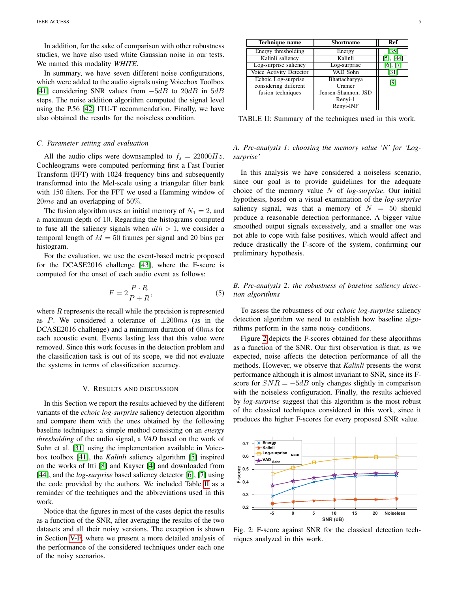In addition, for the sake of comparison with other robustness studies, we have also used white Gaussian noise in our tests. We named this modality *WHITE*.

In summary, we have seven different noise configurations, which were added to the audio signals using Voicebox Toolbox [\[41\]](#page-10-38) considering SNR values from  $-5dB$  to 20dB in  $5dB$ steps. The noise addition algorithm computed the signal level using the P.56 [\[42\]](#page-10-39) ITU-T recommendation. Finally, we have also obtained the results for the noiseless condition.

#### *C. Parameter setting and evaluation*

All the audio clips were downsampled to  $f_s = 22000Hz$ . Cochleograms were computed performing first a Fast Fourier Transform (FFT) with 1024 frequency bins and subsequently transformed into the Mel-scale using a triangular filter bank with 150 filters. For the FFT we used a Hamming window of  $20ms$  and an overlapping of  $50\%$ .

The fusion algorithm uses an initial memory of  $N_1 = 2$ , and a maximum depth of 10. Regarding the histograms computed to fuse all the saliency signals when  $dth > 1$ , we consider a temporal length of  $M = 50$  frames per signal and 20 bins per histogram.

For the evaluation, we use the event-based metric proposed for the DCASE2016 challenge [\[43\]](#page-10-40), where the F-score is computed for the onset of each audio event as follows:

$$
F = 2\frac{P \cdot R}{P + R},\tag{5}
$$

where  $R$  represents the recall while the precision is represented as P. We considered a tolerance of  $\pm 200ms$  (as in the DCASE2016 challenge) and a minimum duration of 60ms for each acoustic event. Events lasting less that this value were removed. Since this work focuses in the detection problem and the classification task is out of its scope, we did not evaluate the systems in terms of classification accuracy.

#### V. RESULTS AND DISCUSSION

<span id="page-5-0"></span>In this Section we report the results achieved by the different variants of the *echoic log-surprise* saliency detection algorithm and compare them with the ones obtained by the following baseline techniques: a simple method consisting on an *energy thresholding* of the audio signal, a *VAD* based on the work of Sohn et al. [\[31\]](#page-10-28) using the implementation available in Voicebox toolbox [\[41\]](#page-10-38), the *Kalinli* saliency algorithm [\[5\]](#page-10-2) inspired on the works of Itti [\[8\]](#page-10-5) and Kayser [\[4\]](#page-10-1) and downloaded from [\[44\]](#page-10-41), and the *log-surprise* based saliency detector [\[6\]](#page-10-3), [\[7\]](#page-10-4) using the code provided by the authors. We included Table [II](#page-5-1) as a reminder of the techniques and the abbreviations used in this work.

Notice that the figures in most of the cases depict the results as a function of the SNR, after averaging the results of the two datasets and all their noisy versions. The exception is shown in Section [V-F,](#page-7-0) where we present a more detailed analysis of the performance of the considered techniques under each one of the noisy scenarios.

<span id="page-5-1"></span>

| <b>Technique name</b>   | <b>Shortname</b>    | Ref            |  |
|-------------------------|---------------------|----------------|--|
| Energy thresholding     | Energy              | [35]           |  |
| Kalinli saliency        | Kalinli             | $[5]$ , $[44]$ |  |
| Log-surprise saliency   | Log-surprise        | [6], [7]       |  |
| Voice Activity Detector | VAD Sohn            | [31]           |  |
| Echoic Log-surprise     | Bhattacharyya       | [9]            |  |
| considering different   | Cramer              |                |  |
| fusion techniques       | Jensen-Shannon, JSD |                |  |
|                         | Renyi-1             |                |  |
|                         | Renyi-INF           |                |  |

TABLE II: Summary of the techniques used in this work.

# <span id="page-5-4"></span>*A. Pre-analysis 1: choosing the memory value 'N' for 'Logsurprise'*

In this analysis we have considered a noiseless scenario, since our goal is to provide guidelines for the adequate choice of the memory value N of *log-surprise*. Our initial hypothesis, based on a visual examination of the *log-surprise* saliency signal, was that a memory of  $N = 50$  should produce a reasonable detection performance. A bigger value smoothed output signals excessively, and a smaller one was not able to cope with false positives, which would affect and reduce drastically the F-score of the system, confirming our preliminary hypothesis.

<span id="page-5-3"></span>*B. Pre-analysis 2: the robustness of baseline saliency detection algorithms*

To assess the robustness of our *echoic log-surprise* saliency detection algorithm we need to establish how baseline algorithms perform in the same noisy conditions.

Figure [2](#page-5-2) depicts the F-scores obtained for these algorithms as a function of the SNR. Our first observation is that, as we expected, noise affects the detection performance of all the methods. However, we observe that *Kalinli* presents the worst performance although it is almost invariant to SNR, since its Fscore for  $SNR = -5dB$  only changes slightly in comparison with the noiseless configuration. Finally, the results achieved by *log-surprise* suggest that this algorithm is the most robust of the classical techniques considered in this work, since it produces the higher F-scores for every proposed SNR value.

<span id="page-5-2"></span>

Fig. 2: F-score against SNR for the classical detection techniques analyzed in this work.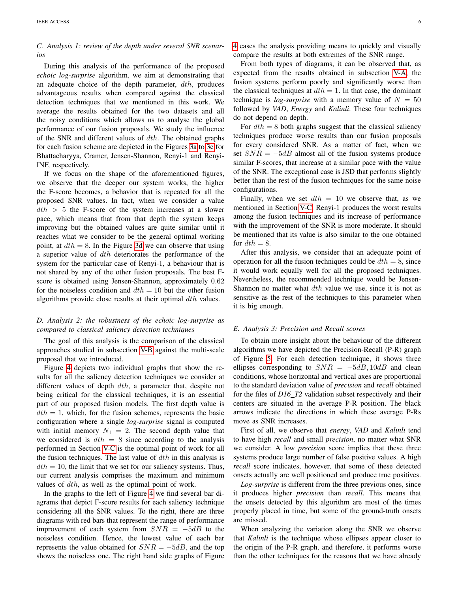# <span id="page-6-0"></span>*C. Analysis 1: review of the depth under several SNR scenarios*

During this analysis of the performance of the proposed *echoic log-surprise* algorithm, we aim at demonstrating that an adequate choice of the depth parameter,  $d\mathbf{t}$  produces advantageous results when compared against the classical detection techniques that we mentioned in this work. We average the results obtained for the two datasets and all the noisy conditions which allows us to analyse the global performance of our fusion proposals. We study the influence of the SNR and different values of  $dth$ . The obtained graphs for each fusion scheme are depicted in the Figures [3a](#page-7-1) to [3e](#page-7-1) for Bhattacharyya, Cramer, Jensen-Shannon, Renyi-1 and Renyi-INF, respectively.

If we focus on the shape of the aforementioned figures, we observe that the deeper our system works, the higher the F-score becomes, a behavior that is repeated for all the proposed SNR values. In fact, when we consider a value  $dth > 5$  the F-score of the system increases at a slower pace, which means that from that depth the system keeps improving but the obtained values are quite similar until it reaches what we consider to be the general optimal working point, at  $d\tau h = 8$ . In the Figure [3d](#page-7-1) we can observe that using a superior value of dth deteriorates the performance of the system for the particular case of Renyi-1, a behaviour that is not shared by any of the other fusion proposals. The best Fscore is obtained using Jensen-Shannon, approximately 0.62 for the noiseless condition and  $dth = 10$  but the other fusion algorithms provide close results at their optimal  $dth$  values.

# *D. Analysis 2: the robustness of the echoic log-surprise as compared to classical saliency detection techniques*

The goal of this analysis is the comparison of the classical approaches studied in subsection [V-B](#page-5-3) against the multi-scale proposal that we introduced.

Figure [4](#page-8-1) depicts two individual graphs that show the results for all the saliency detection techniques we consider at different values of depth  $dth$ , a parameter that, despite not being critical for the classical techniques, it is an essential part of our proposed fusion models. The first depth value is  $dth = 1$ , which, for the fusion schemes, represents the basic configuration where a single *log-surprise* signal is computed with initial memory  $N_1 = 2$ . The second depth value that we considered is  $d\tau h = 8$  since according to the analysis performed in Section [V-C](#page-6-0) is the optimal point of work for all the fusion techniques. The last value of  $dth$  in this analysis is  $dth = 10$ , the limit that we set for our saliency systems. Thus, our current analysis comprises the maximum and minimum values of dth, as well as the optimal point of work.

In the graphs to the left of Figure [4](#page-8-1) we find several bar diagrams that depict F-score results for each saliency technique considering all the SNR values. To the right, there are three diagrams with red bars that represent the range of performance improvement of each system from  $SNR = -5dB$  to the noiseless condition. Hence, the lowest value of each bar represents the value obtained for  $SNR = -5dB$ , and the top shows the noiseless one. The right hand side graphs of Figure [4](#page-8-1) eases the analysis providing means to quickly and visually compare the results at both extremes of the SNR range.

From both types of diagrams, it can be observed that, as expected from the results obtained in subsection [V-A,](#page-5-4) the fusion systems perform poorly and significantly worse than the classical techniques at  $dth = 1$ . In that case, the dominant technique is *log-surprise* with a memory value of  $N = 50$ followed by *VAD*, *Energy* and *Kalinli*. These four techniques do not depend on depth.

For  $d\mathbf{t}h = 8$  both graphs suggest that the classical saliency techniques produce worse results than our fusion proposals for every considered SNR. As a matter of fact, when we set  $SNR = -5dB$  almost all of the fusion systems produce similar F-scores, that increase at a similar pace with the value of the SNR. The exceptional case is JSD that performs slightly better than the rest of the fusion techniques for the same noise configurations.

Finally, when we set  $dth = 10$  we observe that, as we mentioned in Section [V-C,](#page-6-0) Renyi-1 produces the worst results among the fusion techniques and its increase of performance with the improvement of the SNR is more moderate. It should be mentioned that its value is also similar to the one obtained for  $dth = 8$ .

After this analysis, we consider that an adequate point of operation for all the fusion techniques could be  $dth = 8$ , since it would work equally well for all the proposed techniques. Nevertheless, the recommended technique would be Jensen-Shannon no matter what  $dth$  value we use, since it is not as sensitive as the rest of the techniques to this parameter when it is big enough.

## *E. Analysis 3: Precision and Recall scores*

To obtain more insight about the behaviour of the different algorithms we have depicted the Precision-Recall (P-R) graph of Figure [5.](#page-8-2) For each detection technique, it shows three ellipses corresponding to  $SNR = -5dB$ , 10dB and clean conditions, whose horizontal and vertical axes are proportional to the standard deviation value of *precision* and *recall* obtained for the files of *D16 T2* validation subset respectively and their centers are situated in the average P-R position. The black arrows indicate the directions in which these average P-Rs move as SNR increases.

First of all, we observe that *energy*, *VAD* and *Kalinli* tend to have high *recall* and small *precision*, no matter what SNR we consider. A low *precision* score implies that these three systems produce large number of false positive values. A high *recall* score indicates, however, that some of these detected onsets actually are well positioned and produce true positives.

*Log-surprise* is different from the three previous ones, since it produces higher *precision* than *recall*. This means that the onsets detected by this algorithm are most of the times properly placed in time, but some of the ground-truth onsets are missed.

When analyzing the variation along the SNR we observe that *Kalinli* is the technique whose ellipses appear closer to the origin of the P-R graph, and therefore, it performs worse than the other techniques for the reasons that we have already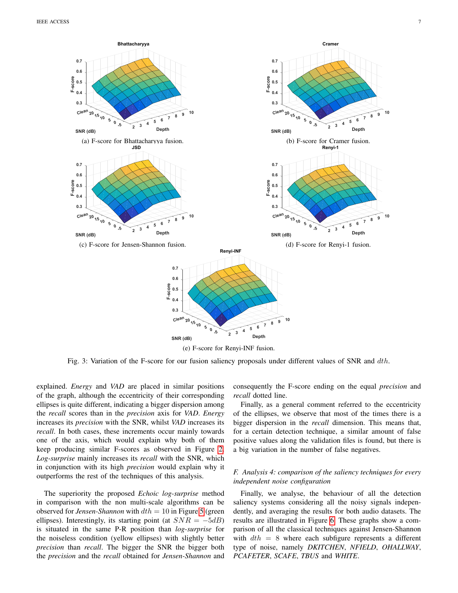<span id="page-7-1"></span>



Fig. 3: Variation of the F-score for our fusion saliency proposals under different values of SNR and dth.

explained. *Energy* and *VAD* are placed in similar positions of the graph, although the eccentricity of their corresponding ellipses is quite different, indicating a bigger dispersion among the *recall* scores than in the *precision* axis for *VAD*. *Energy* increases its *precision* with the SNR, whilst *VAD* increases its *recall*. In both cases, these increments occur mainly towards one of the axis, which would explain why both of them keep producing similar F-scores as observed in Figure [2.](#page-5-2) *Log-surprise* mainly increases its *recall* with the SNR, which in conjunction with its high *precision* would explain why it outperforms the rest of the techniques of this analysis.

The superiority the proposed *Echoic log-surprise* method in comparison with the non multi-scale algorithms can be observed for *Jensen-Shannon* with  $dth = 10$  in Figure [5](#page-8-2) (green ellipses). Interestingly, its starting point (at  $SNR = -5dB$ ) is situated in the same P-R position than *log-surprise* for the noiseless condition (yellow ellipses) with slightly better *precision* than *recall*. The bigger the SNR the bigger both the *precision* and the *recall* obtained for *Jensen-Shannon* and

consequently the F-score ending on the equal *precision* and *recall* dotted line.

Finally, as a general comment referred to the eccentricity of the ellipses, we observe that most of the times there is a bigger dispersion in the *recall* dimension. This means that, for a certain detection technique, a similar amount of false positive values along the validation files is found, but there is a big variation in the number of false negatives.

## <span id="page-7-0"></span>*F. Analysis 4: comparison of the saliency techniques for every independent noise configuration*

Finally, we analyse, the behaviour of all the detection saliency systems considering all the noisy signals independently, and averaging the results for both audio datasets. The results are illustrated in Figure [6.](#page-9-2) These graphs show a comparison of all the classical techniques against Jensen-Shannon with  $d\tau h = 8$  where each subfigure represents a different type of noise, namely *DKITCHEN*, *NFIELD*, *OHALLWAY*, *PCAFETER*, *SCAFE*, *TBUS* and *WHITE*.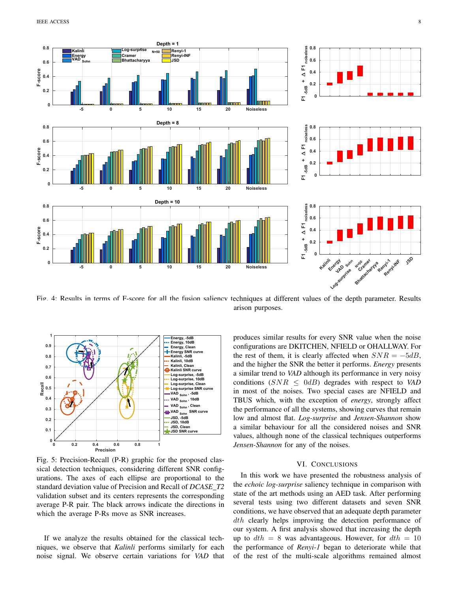<span id="page-8-1"></span>

Fig. 4: Results in terms of F-score for all the fusion saliency techniques at different values of the depth parameter. Results arison purposes.

<span id="page-8-2"></span>

Fig. 5: Precision-Recall (P-R) graphic for the proposed classical detection techniques, considering different SNR configurations. The axes of each ellipse are proportional to the standard deviation value of Precision and Recall of *DCASE T2* validation subset and its centers represents the corresponding average P-R pair. The black arrows indicate the directions in which the average P-Rs move as SNR increases.

If we analyze the results obtained for the classical techniques, we observe that *Kalinli* performs similarly for each noise signal. We observe certain variations for *VAD* that produces similar results for every SNR value when the noise configurations are DKITCHEN, NFIELD or OHALLWAY. For the rest of them, it is clearly affected when  $SNR = -5dB$ , and the higher the SNR the better it performs. *Energy* presents a similar trend to *VAD* although its performance in very noisy conditions  $(SNR \leq 0dB)$  degrades with respect to VAD in most of the noises. Two special cases are NFIELD and TBUS which, with the exception of *energy*, strongly affect the performance of all the systems, showing curves that remain low and almost flat. *Log-surprise* and *Jensen-Shannon* show a similar behaviour for all the considered noises and SNR values, although none of the classical techniques outperforms *Jensen-Shannon* for any of the noises.

## VI. CONCLUSIONS

<span id="page-8-0"></span>In this work we have presented the robustness analysis of the *echoic log-surprise* saliency technique in comparison with state of the art methods using an AED task. After performing several tests using two different datasets and seven SNR conditions, we have observed that an adequate depth parameter dth clearly helps improving the detection performance of our system. A first analysis showed that increasing the depth up to  $dth = 8$  was advantageous. However, for  $dth = 10$ the performance of *Renyi-1* began to deteriorate while that of the rest of the multi-scale algorithms remained almost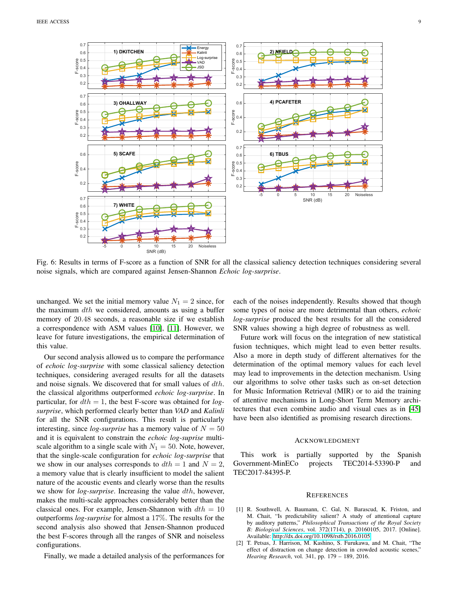<span id="page-9-2"></span>

Fig. 6: Results in terms of F-score as a function of SNR for all the classical saliency detection techniques considering several noise signals, which are compared against Jensen-Shannon *Echoic log-surprise*.

unchanged. We set the initial memory value  $N_1 = 2$  since, for the maximum  $dth$  we considered, amounts as using a buffer memory of 20.48 seconds, a reasonable size if we establish a correspondence with ASM values [\[10\]](#page-10-7), [\[11\]](#page-10-8). However, we leave for future investigations, the empirical determination of this value.

Our second analysis allowed us to compare the performance of *echoic log-surprise* with some classical saliency detection techniques, considering averaged results for all the datasets and noise signals. We discovered that for small values of dth. the classical algorithms outperformed *echoic log-surprise*. In particular, for  $d\tau h = 1$ , the best F-score was obtained for *logsurprise*, which performed clearly better than *VAD* and *Kalinli* for all the SNR configurations. This result is particularly interesting, since *log-surprise* has a memory value of  $N = 50$ and it is equivalent to constrain the *echoic log-suprise* multiscale algorithm to a single scale with  $N_1 = 50$ . Note, however, that the single-scale configuration for *echoic log-surprise* that we show in our analyses corresponds to  $dth = 1$  and  $N = 2$ , a memory value that is clearly insufficient to model the salient nature of the acoustic events and clearly worse than the results we show for *log-surprise*. Increasing the value dth, however, makes the multi-scale approaches considerably better than the classical ones. For example, Jensen-Shannon with  $d\tau h = 10$ outperforms *log-surprise* for almost a 17%. The results for the second analysis also showed that Jensen-Shannon produced the best F-scores through all the ranges of SNR and noiseless configurations.

Finally, we made a detailed analysis of the performances for

each of the noises independently. Results showed that though some types of noise are more detrimental than others, *echoic log-surprise* produced the best results for all the considered SNR values showing a high degree of robustness as well.

Future work will focus on the integration of new statistical fusion techniques, which might lead to even better results. Also a more in depth study of different alternatives for the determination of the optimal memory values for each level may lead to improvements in the detection mechanism. Using our algorithms to solve other tasks such as on-set detection for Music Information Retrieval (MIR) or to aid the training of attentive mechanisms in Long-Short Term Memory architectures that even combine audio and visual cues as in [\[45\]](#page-10-42) have been also identified as promising research directions.

#### ACKNOWLEDGMENT

This work is partially supported by the Spanish Government-MinECo projects TEC2014-53390-P and TEC2017-84395-P.

#### **REFERENCES**

- <span id="page-9-0"></span>[1] R. Southwell, A. Baumann, C. Gal, N. Barascud, K. Friston, and M. Chait, "Is predictability salient? A study of attentional capture by auditory patterns," *Philosophical Transactions of the Royal Society B: Biological Sciences*, vol. 372(1714), p. 20160105, 2017. [Online]. Available:<http://dx.doi.org/10.1098/rstb.2016.0105>
- <span id="page-9-1"></span>[2] T. Petsas, J. Harrison, M. Kashino, S. Furukawa, and M. Chait, "The effect of distraction on change detection in crowded acoustic scenes," *Hearing Research*, vol. 341, pp. 179 – 189, 2016.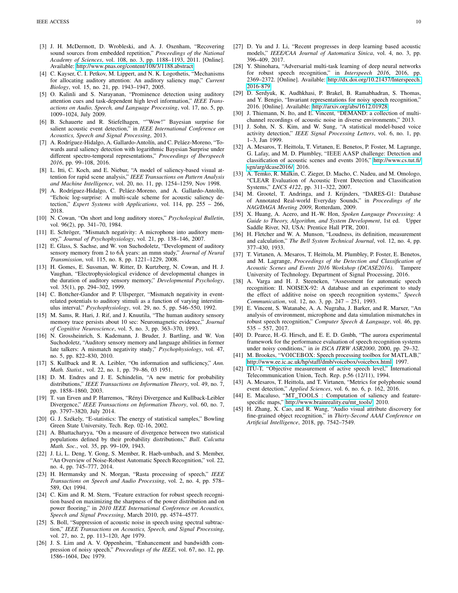- <span id="page-10-0"></span>[3] J. H. McDermott, D. Wrobleski, and A. J. Oxenham, "Recovering sound sources from embedded repetition," *Proceedings of the National Academy of Sciences*, vol. 108, no. 3, pp. 1188–1193, 2011. [Online]. Available:<http://www.pnas.org/content/108/3/1188.abstract>
- <span id="page-10-1"></span>[4] C. Kayser, C. I. Petkov, M. Lippert, and N. K. Logothetis, "Mechanisms for allocating auditory attention: An auditory saliency map," *Current Biology*, vol. 15, no. 21, pp. 1943–1947, 2005.
- <span id="page-10-2"></span>[5] O. Kalinli and S. Narayanan, "Prominence detection using auditory attention cues and task-dependent high level information," *IEEE Transactions on Audio, Speech, and Language Processing*, vol. 17, no. 5, pp. 1009–1024, July 2009.
- <span id="page-10-3"></span>[6] B. Schauerte and R. Stiefelhagen, ""Wow!" Bayesian surprise for salient acoustic event detection," in *IEEE International Conference on Acoustics, Speech and Signal Processing*, 2013.
- <span id="page-10-4"></span>[7] A. Rodríguez-Hidalgo, A. Gallardo-Antolín, and C. Peláez-Moreno, "Towards aural saliency detection with logarithmic Bayesian Surprise under different spectro-temporal representations," *Proceedings of Iberspeech 2016*, pp. 99–108, 2016.
- <span id="page-10-5"></span>[8] L. Itti, C. Koch, and E. Niebur, "A model of saliency-based visual attention for rapid scene analysis," *IEEE Transactions on Pattern Analysis and Machine Intelligence*, vol. 20, no. 11, pp. 1254–1259, Nov 1998.
- <span id="page-10-6"></span>[9] A. Rodríguez-Hidalgo, C. Peláez-Moreno, and A. Gallardo-Antolín, "Echoic log-surprise: A multi-scale scheme for acoustic saliency detection," *Expert Systems with Applications*, vol. 114, pp. 255 – 266, 2018.
- <span id="page-10-7"></span>[10] N. Cowan, "On short and long auditory stores," *Psychological Bulletin*, vol. 96(2), pp. 341–70, 1984.
- <span id="page-10-8"></span>[11] E. Schröger, "Mismatch negativity: A microphone into auditory memory," *Journal of Psychophysiology*, vol. 21, pp. 138–146, 2007.
- <span id="page-10-9"></span>[12] E. Glass, S. Sachse, and W. von Suchodoletz, "Development of auditory sensory memory from 2 to 6A years: an mmn study," *Journal of Neural Transmission*, vol. 115, no. 8, pp. 1221–1229, 2008.
- <span id="page-10-10"></span>[13] H. Gomes, E. Sussman, W. Ritter, D. Kurtzberg, N. Cowan, and H. J. Vaughan, "Electrophysiological evidence of developmental changes in the duration of auditory sensory memory," *Developmental Psychology*, vol. 35(1), pp. 294–302, 1999.
- <span id="page-10-11"></span>[14] C. Bottcher-Gandor and P. Ullsperger, "Mismatch negativity in eventrelated potentials to auditory stimuli as a function of varying interstimulus interval," *Psychophysiology*, vol. 29, no. 5, pp. 546–550, 1992.
- <span id="page-10-12"></span>[15] M. Sams, R. Hari, J. Rif, and J. Knuutila, "The human auditory sensory memory trace persists about 10 sec: Neuromagnetic evidence," *Journal of Cognitive Neuroscience*, vol. 5, no. 3, pp. 363–370, 1993.
- <span id="page-10-13"></span>[16] N. Grossheinrich, S. Kademann, J. Bruder, J. Bartling, and W. Von Suchodoletz, "Auditory sensory memory and language abilities in former late talkers: A mismatch negativity study," *Psychophysiology*, vol. 47, no. 5, pp. 822–830, 2010.
- <span id="page-10-14"></span>[17] S. Kullback and R. A. Leibler, "On information and sufficiency," *Ann. Math. Statist.*, vol. 22, no. 1, pp. 79–86, 03 1951.
- <span id="page-10-15"></span>[18] D. M. Endres and J. E. Schindelin, "A new metric for probability distributions," *IEEE Transactions on Information Theory*, vol. 49, no. 7, pp. 1858–1860, 2003.
- <span id="page-10-16"></span>[19] T. van Erven and P. Harremos, "Rényi Divergence and Kullback-Leibler Divergence," *IEEE Transactions on Information Theory*, vol. 60, no. 7, pp. 3797–3820, July 2014.
- <span id="page-10-17"></span>[20] G. J. Székely, "E-statistics: The energy of statistical samples," Bowling Green State University, Tech. Rep. 02-16, 2002.
- <span id="page-10-18"></span>[21] A. Bhattacharyya, "On a measure of divergence between two statistical populations defined by their probability distributions," *Bull. Calcutta Math. Soc.*, vol. 35, pp. 99–109, 1943.
- <span id="page-10-19"></span>[22] J. Li, L. Deng, Y. Gong, S. Member, R. Haeb-umbach, and S. Member, "An Overview of Noise-Robust Automatic Speech Recognition," vol. 22, no. 4, pp. 745–777, 2014.
- <span id="page-10-20"></span>[23] H. Hermansky and N. Morgan, "Rasta processing of speech," *IEEE Transactions on Speech and Audio Processing*, vol. 2, no. 4, pp. 578– 589, Oct 1994.
- <span id="page-10-21"></span>[24] C. Kim and R. M. Stern, "Feature extraction for robust speech recognition based on maximizing the sharpness of the power distribution and on power flooring," in *2010 IEEE International Conference on Acoustics, Speech and Signal Processing*, March 2010, pp. 4574–4577.
- <span id="page-10-22"></span>[25] S. Boll, "Suppression of acoustic noise in speech using spectral subtraction," *IEEE Transactions on Acoustics, Speech, and Signal Processing*, vol. 27, no. 2, pp. 113–120, Apr 1979.
- <span id="page-10-23"></span>[26] J. S. Lim and A. V. Oppenheim, "Enhancement and bandwidth compression of noisy speech," *Proceedings of the IEEE*, vol. 67, no. 12, pp. 1586–1604, Dec 1979.
- <span id="page-10-24"></span>[27] D. Yu and J. Li, "Recent progresses in deep learning based acoustic models," *IEEE/CAA Journal of Automatica Sinica*, vol. 4, no. 3, pp. 396–409, 2017.
- <span id="page-10-25"></span>[28] Y. Shinohara, "Adversarial multi-task learning of deep neural networks for robust speech recognition," in *Interspeech 2016*, 2016, pp. 2369–2372. [Online]. Available: [http://dx.doi.org/10.21437/Interspeech.](http://dx.doi.org/10.21437/Interspeech.2016-879) [2016-879](http://dx.doi.org/10.21437/Interspeech.2016-879)
- <span id="page-10-26"></span>[29] D. Serdyuk, K. Audhkhasi, P. Brakel, B. Ramabhadran, S. Thomas, and Y. Bengio, "Invariant representations for noisy speech recognition," 2016. [Online]. Available:<http://arxiv.org/abs/1612.01928>
- <span id="page-10-27"></span>[30] J. Thiemann, N. Ito, and E. Vincent, "DEMAND: a collection of multichannel recordings of acoustic noise in diverse environments," 2013.
- <span id="page-10-28"></span>[31] J. Sohn, N. S. Kim, and W. Sung, "A statistical model-based voice activity detection," *IEEE Signal Processing Letters*, vol. 6, no. 1, pp. 1–3, Jan 1999.
- <span id="page-10-29"></span>[32] A. Mesaros, T. Heittola, T. Virtanen, E. Benetos, P. Foster, M. Lagrange, G. Lafay, and M. D. Plumbley, "IEEE AASP challenge: Detection and classification of acoustic scenes and events 2016," [http://www.cs.tut.fi/](http://www.cs.tut.fi/sgn/arg/dcase2016/) [sgn/arg/dcase2016/,](http://www.cs.tut.fi/sgn/arg/dcase2016/) 2016.
- <span id="page-10-30"></span>[33] A. Temko, R. Malkin, C. Zieger, D. Macho, C. Nadeu, and M. Omologo, "CLEAR Evaluation of Acoustic Event Detection and Classification Systems," *LNCS 4122*, pp. 311–322, 2007.
- <span id="page-10-31"></span>[34] M. Grootel, T. Andringa, and J. Krijnders, "DARES-G1: Database of Annotated Real-world Everyday Sounds," in *Proceedings of the NAG/DAGA Meeting 2009*, Rotterdam, 2009.
- <span id="page-10-32"></span>[35] X. Huang, A. Acero, and H.-W. Hon, *Spoken Language Processing: A Guide to Theory, Algorithm, and System Development*, 1st ed. Upper Saddle River, NJ, USA: Prentice Hall PTR, 2001.
- <span id="page-10-33"></span>[36] H. Fletcher and W. A. Munson, "Loudness, its definition, measurement and calculation," *The Bell System Technical Journal*, vol. 12, no. 4, pp. 377–430, 1933.
- <span id="page-10-34"></span>[37] T. Virtanen, A. Mesaros, T. Heittola, M. Plumbley, P. Foster, E. Benetos, and M. Lagrange, *Proceedings of the Detection and Classification of Acoustic Scenes and Events 2016 Workshop (DCASE2016)*. Tampere University of Technology. Department of Signal Processing, 2016.
- <span id="page-10-35"></span>[38] A. Varga and H. J. Steeneken, "Assessment for automatic speech recognition: II. NOISEX-92: A database and an experiment to study the effect of additive noise on speech recognition systems," *Speech Communication*, vol. 12, no. 3, pp. 247 – 251, 1993.
- <span id="page-10-36"></span>[39] E. Vincent, S. Watanabe, A. A. Nugraha, J. Barker, and R. Marxer, "An analysis of environment, microphone and data simulation mismatches in robust speech recognition," *Computer Speech & Language*, vol. 46, pp. 535 – 557, 2017.
- <span id="page-10-37"></span>[40] D. Pearce, H.-G. Hirsch, and E. E. D. Gmbh, "The aurora experimental framework for the performance evaluation of speech recognition systems under noisy conditions," in *in ISCA ITRW ASR2000*, 2000, pp. 29–32.
- <span id="page-10-38"></span>[41] M. Brookes, "VOICEBOX: Speech processing toolbox for MATLAB," [http://www.ee.ic.ac.uk/hp/staff/dmb/voicebox/voicebox.html,](http://www.ee.ic.ac.uk/hp/staff/dmb/voicebox/voicebox.html) 1997.
- <span id="page-10-39"></span>[42] ITU-T, "Objective measurement of active speech level," International Telecommunication Union, Tech. Rep. p.56 (12/11), 1994.
- <span id="page-10-40"></span>[43] A. Mesaros, T. Heittola, and T. Virtanen, "Metrics for polyphonic sound event detection," *Applied Sciences*, vol. 6, no. 6, p. 162, 2016.
- <span id="page-10-41"></span>[44] E. Macaluso, "MT\_TOOLS : Computation of saliency and featureecific maps," [http://www.brainreality.eu/mt](http://www.brainreality.eu/mt_tools/)\_tools/, 2010.
- <span id="page-10-42"></span>[45] H. Zhang, X. Cao, and R. Wang, "Audio visual attribute discovery for fine-grained object recognition," in *Thirty-Second AAAI Conference on Artificial Intelligence*, 2018, pp. 7542–7549.